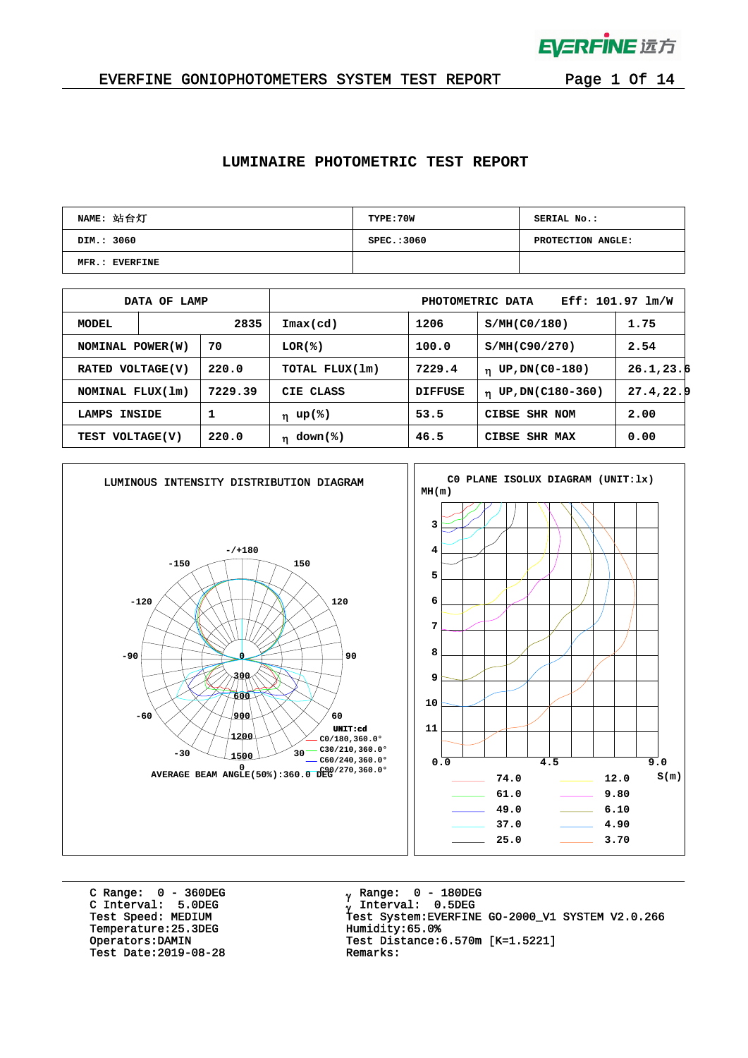

#### EVERFINE GONIOPHOTOMETERS SYSTEM TEST REPORT Page 1 Of 14

#### **LUMINAIRE PHOTOMETRIC TEST REPORT**

| NAME: 站台灯      | TYPE: 70W   | SERIAL No.:       |
|----------------|-------------|-------------------|
| DIM.: 3060     | SPEC.: 3060 | PROTECTION ANGLE: |
| MFR.: EVERFINE |             |                   |

|                             | DATA OF LAMP |                | $Eff: 101.97 \text{ lm/W}$<br>PHOTOMETRIC DATA |                      |                      |            |  |  |  |  |
|-----------------------------|--------------|----------------|------------------------------------------------|----------------------|----------------------|------------|--|--|--|--|
| MODEL                       | 2835         |                | $\mathtt{Imax}(\mathtt{cd})$                   | 1206<br>S/MH(C0/180) |                      | 1.75       |  |  |  |  |
| 70<br>NOMINAL POWER (W)     |              | LOR(%)         | 100.0                                          | S/MH(C90/270)        | 2.54                 |            |  |  |  |  |
| 220.0<br>RATED VOLTAGE(V)   |              | TOTAL FLUX(1m) | 7229.4                                         | $n$ UP, DN(C0-180)   | 26.1, 23.6           |            |  |  |  |  |
| NOMINAL FLUX(1m)            |              | 7229.39        | CIE CLASS                                      | <b>DIFFUSE</b>       | $n$ UP, DN(C180-360) | 27.4, 22.9 |  |  |  |  |
| 1<br><b>INSIDE</b><br>LAMPS |              | η up(%)        | 53.5                                           | CIBSE SHR NOM        | 2.00                 |            |  |  |  |  |
| TEST VOLTAGE(V)             |              | 220.0          | $down$ (%)<br>'n                               | 46.5                 | CIBSE SHR MAX        | 0.00       |  |  |  |  |



C Range: 0 - 360DEG C Interval: 5.0DEG Temperature:25.3DEG Humidity:65.0%<br>Operators:DAMIN Test Distance: Test Date:  $2019-08-28$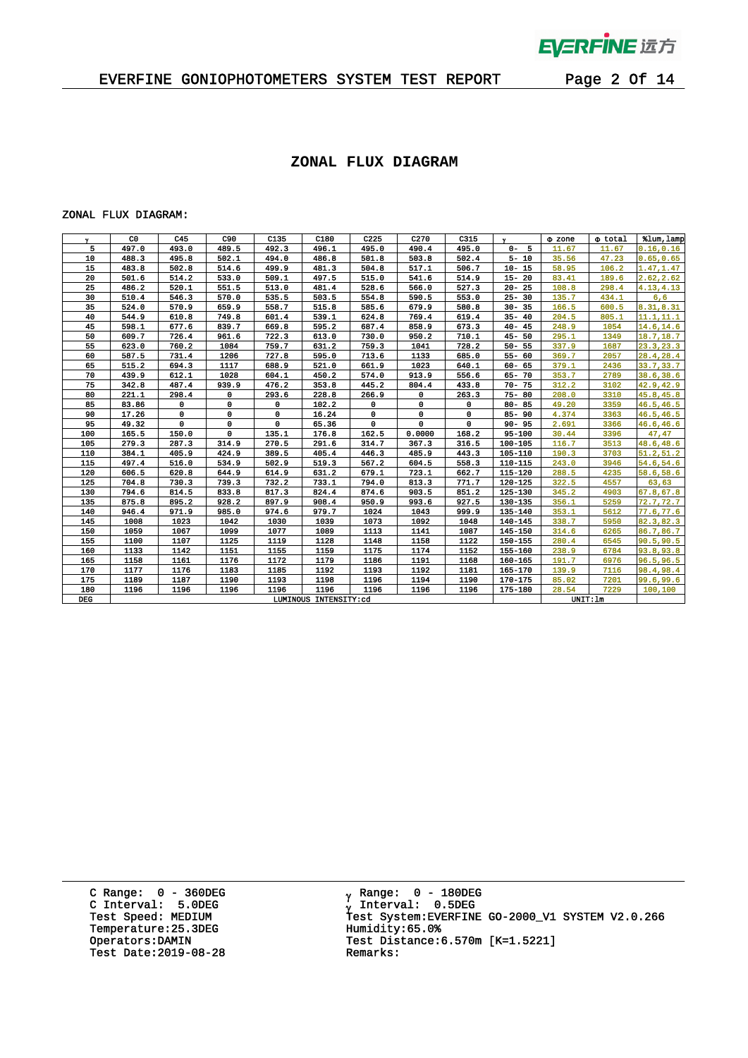

 $\bar{1}$ 

### EVERFINE GONIOPHOTOMETERS SYSTEM TEST REPORT Page 2 Of 14

#### **ZONAL FLUX DIAGRAM**

#### ZONAL FLUX DIAGRAM:

| Y.         | C <sub>0</sub> | C45   | C90   | C135                  | C180  | C225  | C270    | C315  | $\mathbf{v}$ | $\Phi$ zone | o total | %lum, lamp |
|------------|----------------|-------|-------|-----------------------|-------|-------|---------|-------|--------------|-------------|---------|------------|
| 5          | 497.0          | 493.0 | 489.5 | 492.3                 | 496.1 | 495.0 | 490.4   | 495.0 | $0 - 5$      | 11.67       | 11.67   | 0.16, 0.16 |
| 10         | 488.3          | 495.8 | 502.1 | 494.0                 | 486.8 | 501.8 | 503.8   | 502.4 | $5 - 10$     | 35.56       | 47.23   | 0.65, 0.65 |
| 15         | 483.8          | 502.8 | 514.6 | 499.9                 | 481.3 | 504.8 | 517.1   | 506.7 | $10 - 15$    | 58.95       | 106.2   | 1.47, 1.47 |
| 20         | 501.6          | 514.2 | 533.0 | 509.1                 | 497.5 | 515.0 | 541.6   | 514.9 | $15 - 20$    | 83.41       | 189.6   | 2.62, 2.62 |
| 25         | 486.2          | 520.1 | 551.5 | 513.0                 | 481.4 | 528.6 | 566.0   | 527.3 | $20 - 25$    | 108.8       | 298.4   | 4.13, 4.13 |
| 30         | 510.4          | 546.3 | 570.0 | 535.5                 | 503.5 | 554.8 | 590.5   | 553.0 | $25 - 30$    | 135.7       | 434.1   | 6,6        |
| 35         | 524.0          | 570.9 | 659.9 | 558.7                 | 515.8 | 585.6 | 679.9   | 580.8 | $30 - 35$    | 166.5       | 600.5   | 8.31,8.31  |
| 40         | 544.9          | 610.8 | 749.8 | 601.4                 | 539.1 | 624.8 | 769.4   | 619.4 | $35 - 40$    | 204.5       | 805.1   | 11.1, 11.1 |
| 45         | 598.1          | 677.6 | 839.7 | 669.8                 | 595.2 | 687.4 | 858.9   | 673.3 | $40 - 45$    | 248.9       | 1054    | 14.6, 14.6 |
| 50         | 609.7          | 726.4 | 961.6 | 722.3                 | 613.0 | 730.0 | 950.2   | 710.1 | $45 - 50$    | 295.1       | 1349    | 18.7, 18.7 |
| 55         | 623.0          | 760.2 | 1084  | 759.7                 | 631.2 | 759.3 | 1041    | 728.2 | $50 - 55$    | 337.9       | 1687    | 23.3, 23.3 |
| 60         | 587.5          | 731.4 | 1206  | 727.8                 | 595.0 | 713.6 | 1133    | 685.0 | $55 - 60$    | 369.7       | 2057    | 28.4,28.4  |
| 65         | 515.2          | 694.3 | 1117  | 688.9                 | 521.0 | 661.9 | 1023    | 640.1 | $60 - 65$    | 379.1       | 2436    | 33.7,33.7  |
| 70         | 439.9          | 612.1 | 1028  | 604.1                 | 450.2 | 574.0 | 913.9   | 556.6 | $65 - 70$    | 353.7       | 2789    | 38.6,38.6  |
| 75         | 342.8          | 487.4 | 939.9 | 476.2                 | 353.8 | 445.2 | 804.4   | 433.8 | $70 - 75$    | 312.2       | 3102    | 42.9,42.9  |
| 80         | 221.1          | 298.4 | 0     | 293.6                 | 228.8 | 266.9 | 0       | 263.3 | $75 - 80$    | 208.0       | 3310    | 45.8,45.8  |
| 85         | 83.86          | 0     | 0     | 0                     | 102.2 | 0     | 0       | 0     | $80 - 85$    | 49.20       | 3359    | 46.5,46.5  |
| 90         | 17.26          | 0     | 0     | 0                     | 16.24 | 0     | 0       | 0     | $85 - 90$    | 4.374       | 3363    | 46.5,46.5  |
| 95         | 49.32          | 0     | 0     | $\mathbf 0$           | 65.36 | 0     | 0       | 0     | $90 - 95$    | 2.691       | 3366    | 46.6,46.6  |
| 100        | 165.5          | 150.0 | 0     | 135.1                 | 176.8 | 162.5 | 0.0000  | 168.2 | 95-100       | 30.44       | 3396    | 47,47      |
| 105        | 279.3          | 287.3 | 314.9 | 270.5                 | 291.6 | 314.7 | 367.3   | 316.5 | 100-105      | 116.7       | 3513    | 48.6,48.6  |
| 110        | 384.1          | 405.9 | 424.9 | 389.5                 | 405.4 | 446.3 | 485.9   | 443.3 | 105-110      | 190.3       | 3703    | 51.2, 51.2 |
| 115        | 497.4          | 516.0 | 534.9 | 502.9                 | 519.3 | 567.2 | 604.5   | 558.3 | 110-115      | 243.0       | 3946    | 54.6,54.6  |
| 120        | 606.5          | 620.8 | 644.9 | 614.9                 | 631.2 | 679.1 | 723.1   | 662.7 | 115-120      | 288.5       | 4235    | 58.6,58.6  |
| 125        | 704.8          | 730.3 | 739.3 | 732.2                 | 733.1 | 794.0 | 813.3   | 771.7 | 120-125      | 322.5       | 4557    | 63,63      |
| 130        | 794.6          | 814.5 | 833.8 | 817.3                 | 824.4 | 874.6 | 903.5   | 851.2 | 125-130      | 345.2       | 4903    | 67.8,67.8  |
| 135        | 875.8          | 895.2 | 928.2 | 897.9                 | 908.4 | 950.9 | 993.6   | 927.5 | 130-135      | 356.1       | 5259    | 72.7,72.7  |
| 140        | 946.4          | 971.9 | 985.0 | 974.6                 | 979.7 | 1024  | 1043    | 999.9 | 135-140      | 353.1       | 5612    | 77.6,77.6  |
| 145        | 1008           | 1023  | 1042  | 1030                  | 1039  | 1073  | 1092    | 1048  | 140-145      | 338.7       | 5950    | 82.3,82.3  |
| 150        | 1059           | 1067  | 1099  | 1077                  | 1089  | 1113  | 1141    | 1087  | 145-150      | 314.6       | 6265    | 86.7,86.7  |
| 155        | 1100           | 1107  | 1125  | 1119                  | 1128  | 1148  | 1158    | 1122  | 150-155      | 280.4       | 6545    | 90.5,90.5  |
| 160        | 1133           | 1142  | 1151  | 1155                  | 1159  | 1175  | 1174    | 1152  | 155-160      | 238.9       | 6784    | 93.8,93.8  |
| 165        | 1158           | 1161  | 1176  | 1172                  | 1179  | 1186  | 1191    | 1168  | 160-165      | 191.7       | 6976    | 96.5,96.5  |
| 170        | 1177           | 1176  | 1183  | 1185                  | 1192  | 1193  | 1192    | 1181  | 165-170      | 139.9       | 7116    | 98.4,98.4  |
| 175        | 1189           | 1187  | 1190  | 1193                  | 1198  | 1196  | 1194    | 1190  | 170-175      | 85.02       | 7201    | 99.6,99.6  |
| 180        | 1196           | 1196  | 1196  | 1196                  | 1196  | 1196  | 1196    | 1196  | 175-180      | 28.54       | 7229    | 100,100    |
| <b>DEG</b> |                |       |       | LUMINOUS INTENSITY:cd |       |       | UNIT:1m |       |              |             |         |            |

C Range: 0 - 360DEG C Interval: 5.0DEG Temperature:25.3DEG Humidity:65.0%<br>Operators:DAMIN Test Distance: Test Date:  $2019-08-28$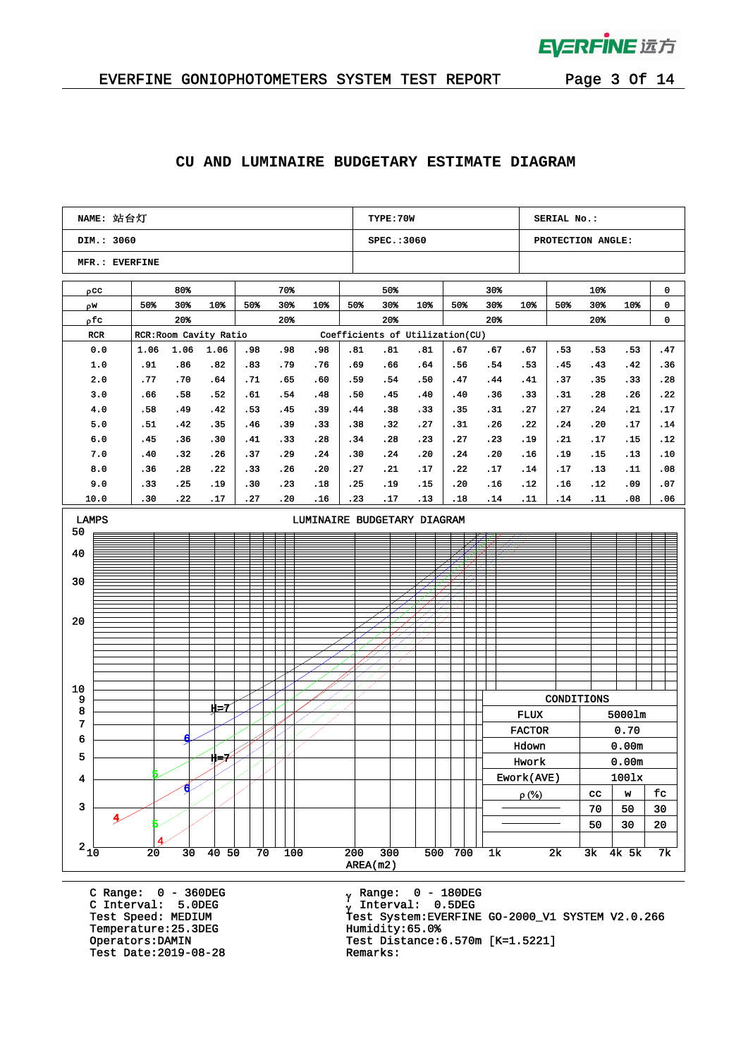

 $\bar{q}$ 

#### **CU AND LUMINAIRE BUDGETARY ESTIMATE DIAGRAM**

| NAME: 站台灯                   |  |            |            |                        |            |            |            |                 | TYPE: 70W                       |            |            |               |               | SERIAL No.:       |             |              |            |
|-----------------------------|--|------------|------------|------------------------|------------|------------|------------|-----------------|---------------------------------|------------|------------|---------------|---------------|-------------------|-------------|--------------|------------|
| DIM.: 3060                  |  |            |            |                        |            |            |            |                 | SPEC.: 3060                     |            |            |               |               | PROTECTION ANGLE: |             |              |            |
| MFR.: EVERFINE              |  |            |            |                        |            |            |            |                 |                                 |            |            |               |               |                   |             |              |            |
| $\rho$ cc                   |  |            | 80%        |                        |            | 70%        |            |                 | 50%                             |            |            | 30%           |               |                   | 10%         |              | 0          |
| ρw                          |  | 50%        | 30%        | 10%                    | 50%        | 30%        | 10%        | 50%             | 30%                             | 10%        | 50%        | 30%           | 10%           | 50%               | 30%         | 10%          | 0          |
| ρfc                         |  |            | 20%        |                        |            | 20%        |            |                 | 20%                             |            |            | 20%           |               |                   | 20%         |              | 0          |
| RCR                         |  |            |            | RCR: Room Cavity Ratio |            |            |            |                 | Coefficients of Utilization(CU) |            |            |               |               |                   |             |              |            |
| 0.0                         |  | 1.06       | 1.06       | 1.06                   | .98        | .98        | .98        | .81             | .81                             | .81        | .67        | .67           | .67           | .53               | .53         | .53          | . 47       |
| 1.0                         |  | .91        | .86        | .82                    | .83        | . 79       | .76        | .69             | .66                             | .64        | .56        | .54           | .53           | .45               | .43         | .42          | .36        |
| 2.0                         |  | .77        | .70        | .64                    | .71        | .65        | .60        | .59             | .54                             | .50        | .47        | .44           | .41           | .37               | .35         | .33          | . 28       |
| 3.0                         |  | .66        | .58        | .52                    | .61        | .54        | .48        | .50             | .45                             | .40        | .40        | .36           | .33           | . 31              | .28         | . 26         | .22        |
| 4.0                         |  | .58        | .49        | .42                    | .53        | .45        | . 39       | .44             | .38                             | .33        | . 35       | .31           | .27           | .27               | .24         | .21          | .17        |
| 5.0                         |  | .51        | .42        | .35                    | .46        | .39        | .33        | .38             | .32                             | .27        | .31        | .26           | .22           | .24               | .20         | .17          | .14        |
| 6.0                         |  | .45        | .36        | .30                    | .41        | .33        | .28        | .34             | .28                             | .23        | .27        | .23           | . 19          | .21               | .17         | .15          | . 12       |
| 7.0                         |  | .40        | .32        | . 26                   | .37        | .29        | .24        | .30             | .24                             | .20        | .24        | .20           | .16           | . 19              | .15         | .13          | .10        |
| 8.0                         |  | .36        | .28        | .22                    | .33        | .26        | .20        | .27             | .21                             | .17        | .22        | .17           | .14           | .17               | .13         | .11          | .08        |
| 9.0<br>10.0                 |  | .33<br>.30 | .25<br>.22 | . 19<br>.17            | .30<br>.27 | .23<br>.20 | .18<br>.16 | .25<br>.23      | .19<br>.17                      | .15<br>.13 | .20<br>.18 | .16<br>.14    | .12<br>.11    | .16<br>.14        | . 12<br>.11 | .09<br>.08   | .07<br>.06 |
| LUMINAIRE BUDGETARY DIAGRAM |  |            |            |                        |            |            |            |                 |                                 |            |            |               |               |                   |             |              |            |
| <b>LAMPS</b><br>50          |  |            |            |                        |            |            |            |                 |                                 |            |            |               |               |                   |             |              |            |
|                             |  |            |            |                        |            |            |            |                 |                                 |            |            |               |               |                   |             |              |            |
| 40                          |  |            |            |                        |            |            |            |                 |                                 |            |            |               |               |                   |             |              |            |
|                             |  |            |            |                        |            |            |            |                 |                                 |            |            |               |               |                   |             |              |            |
| 30                          |  |            |            |                        |            |            |            |                 |                                 |            |            |               |               |                   |             |              |            |
|                             |  |            |            |                        |            |            |            |                 |                                 |            |            |               |               |                   |             |              |            |
| 20                          |  |            |            |                        |            |            |            |                 |                                 |            |            |               |               |                   |             |              |            |
|                             |  |            |            |                        |            |            |            |                 |                                 |            |            |               |               |                   |             |              |            |
|                             |  |            |            |                        |            |            |            |                 |                                 |            |            |               |               |                   |             |              |            |
|                             |  |            |            |                        |            |            |            |                 |                                 |            |            |               |               |                   |             |              |            |
|                             |  |            |            |                        |            |            |            |                 |                                 |            |            |               |               |                   |             |              |            |
| 10<br>9                     |  |            |            |                        |            |            |            |                 |                                 |            |            |               |               | CONDITIONS        |             |              |            |
| 8                           |  |            |            | $H=7$                  |            |            |            |                 |                                 |            |            |               | <b>FLUX</b>   |                   |             | 50001m       |            |
| 7                           |  |            |            |                        |            |            |            |                 |                                 |            |            |               | <b>FACTOR</b> |                   |             | 0.70         |            |
| 6                           |  |            |            |                        |            |            |            |                 |                                 |            |            |               | Hdown         |                   |             | 0.00m        |            |
| 5                           |  |            |            | サン                     |            |            |            |                 |                                 |            |            |               | Hwork         |                   |             | 0.00m        |            |
| 4                           |  |            |            |                        |            |            |            |                 |                                 |            |            |               | Ework(AVE)    |                   |             | 1001x        |            |
|                             |  |            |            |                        |            |            |            |                 |                                 |            |            |               | $\rho$ (%)    |                   | cc          | $\mathbf{w}$ | fc         |
| 3                           |  |            |            |                        |            |            |            |                 |                                 |            |            |               |               |                   | 70          | 50           | $30\,$     |
|                             |  |            |            |                        |            |            |            |                 |                                 |            |            |               |               |                   | 50          | 30           | ${\bf 20}$ |
|                             |  |            |            |                        |            |            |            |                 |                                 |            |            |               |               |                   |             |              |            |
| $2_{10}$                    |  | 20         | 30         | 40 <sub>50</sub>       | 70         | 100        |            | 200<br>AREA(m2) | 300                             |            | 500 700    | $1\mathrm{k}$ |               | 2k                | 3k          | 4k 5k        | 7k         |

C Range: 0 - 360DEG C Interval: 5.0DEG Temperature:25.3DEG Humidity:65.0%<br>Operators:DAMIN Test Distance: Test Date:  $2019-08-28$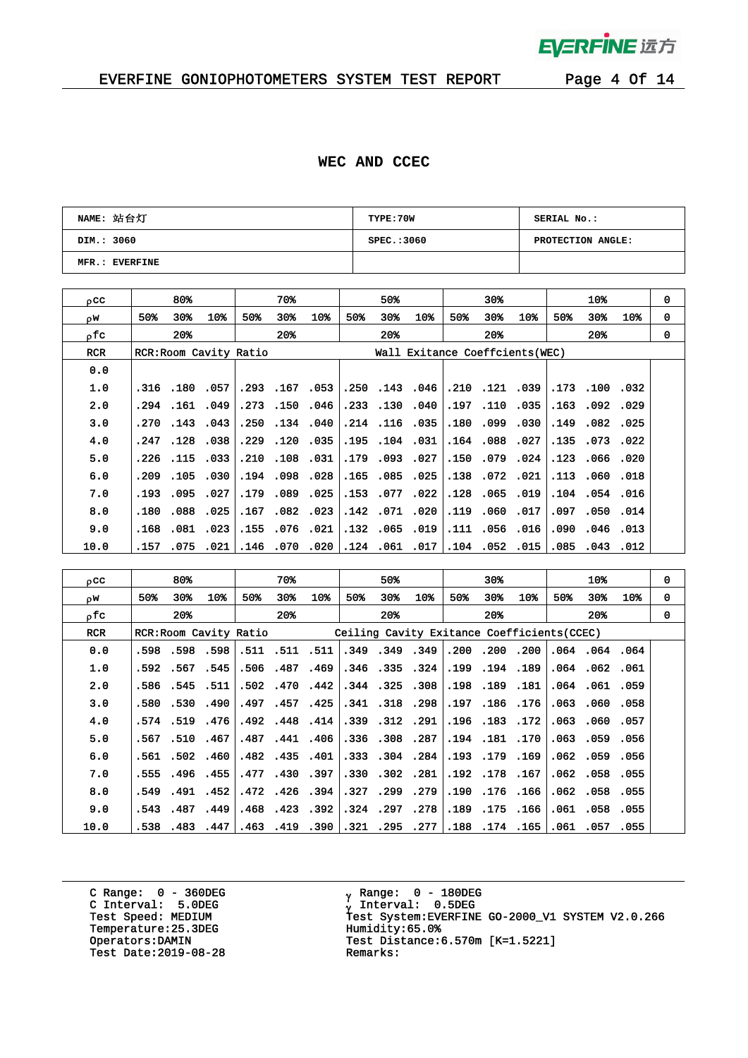

 $\bar{z}$ 

### EVERFINE GONIOPHOTOMETERS SYSTEM TEST REPORT Page 4 Of 14

#### **WEC AND CCEC**

| NAME: 站台灯      | TYPE:70W    | SERIAL No.:       |
|----------------|-------------|-------------------|
| DIM.: 3060     | SPEC.: 3060 | PROTECTION ANGLE: |
| MFR.: EVERFINE |             |                   |

| $_{0}$ cc  |       | 80%  |                |                        | 70%            |                      |      | 50%                  |                                 |      | $30*$          |              |      | 10%            |          | $\mathbf 0$  |
|------------|-------|------|----------------|------------------------|----------------|----------------------|------|----------------------|---------------------------------|------|----------------|--------------|------|----------------|----------|--------------|
| οW         | 50%   | 30%  | 10%            | 50%                    | 30%            | 10%                  | 50%  | 30%                  | 10%                             | 50%  | 30%            | 10%          | 50%  | 30%            | 10%      | $\mathbf{0}$ |
| ofc.       |       | 20%  |                |                        | $20*$          |                      |      | $20*$                |                                 |      | $20*$          |              |      | $20*$          |          | $\Omega$     |
| <b>RCR</b> |       |      |                | RCR: Room Cavity Ratio |                |                      |      |                      | Wall Exitance Coeffcients (WEC) |      |                |              |      |                |          |              |
| 0.0        |       |      |                |                        |                |                      |      |                      |                                 |      |                |              |      |                |          |              |
| 1.0        |       |      | .316 .180 .057 |                        |                | $.293$ $.167$ $.053$ | .250 |                      | .143.046                        |      |                | .210.121.039 |      | .173.100.032   |          |              |
| 2.0        | . 294 | .161 | .049           |                        | .273.150       | .046                 |      | .233.130             | .040                            | .197 | .110           | .035         | .163 | .092.029       |          |              |
| 3.0        | .270  |      | $.143$ $.043$  |                        | .250.134.040   |                      |      | $.214$ $.116$ $.035$ |                                 | .180 | .099.030       |              | .149 | .082.025       |          |              |
| 4.0        | .247  | .128 | .038           | .229                   |                | .120.035             | .195 |                      | $.104$ .031                     | .164 | .088           | .027         | .135 |                | .073.022 |              |
| 5.0        | .226  |      | .115.033       |                        | .210 .108 .031 |                      |      | .179.093.027         |                                 |      | .150.079.024   |              |      | .123 .066 .020 |          |              |
| 6.0        | .209  | .105 | .030           |                        | .194.098       | .028                 | .165 |                      | .085.025                        | .138 | .072.021       |              | .113 | .060.018       |          |              |
| 7.0        | .193  |      | .095 .027      |                        | .179 .089      | .025                 | .153 |                      | .077 .022                       |      | .128 .065 .019 |              |      | .104.054.016   |          |              |
| 8.0        | .180  | .088 | .025           | .167                   |                | $.082$ $.023$        | .142 |                      | .071 .020                       | .119 |                | .060.017     | .097 | .050.014       |          |              |
| 9.0        | .168  |      | .081 .023      |                        | .155 .076 .021 |                      |      |                      | .132 .065 .019                  |      | .111 .056 .016 |              | .090 | .046 .013      |          |              |
| 10.0       | .157  | .075 | .021           | .146                   | .070           | .020                 | .124 | .061                 | .017                            |      | .104.052.015   |              | .085 |                | .043.012 |              |

| 0CC        |     | 80%          |                       |     | 70%                  |                |      | 50%                  |                      |     | $30*$          |                                             |      | 10%            |                 | 0           |
|------------|-----|--------------|-----------------------|-----|----------------------|----------------|------|----------------------|----------------------|-----|----------------|---------------------------------------------|------|----------------|-----------------|-------------|
| ρW         | 50% | 30%          | 10%                   | 50% | 30%                  | 10%            | 50%  | 30%                  | 10 <sub>3</sub>      | 50% | 30%            | 10%                                         | 50%  | 30%            | 10 <sub>8</sub> | $\mathbf 0$ |
| ρfα        |     | $20*$        |                       |     | $20*$                |                |      | $20*$                |                      |     | $20*$          |                                             |      | $20*$          |                 | $\Omega$    |
| <b>RCR</b> |     |              | RCR:Room Cavity Ratio |     |                      |                |      |                      |                      |     |                | Ceiling Cavity Exitance Coefficients (CCEC) |      |                |                 |             |
| 0.0        |     | .598.598.598 |                       |     | .511 .511 .511       |                |      | .349.349.349         |                      |     |                | .200.200.200                                |      | .064.064.064   |                 |             |
| 1.0        |     |              | .592.567.545          |     |                      | .506.487.469   |      |                      | $.346$ $.335$ $.324$ |     | .199.194.189   |                                             |      | .064 .062 .061 |                 |             |
| 2.0        |     | .586.545.511 |                       |     |                      | .502.470.442   |      | $.344$ $.325$ $.308$ |                      |     | .198.189.181   |                                             |      | .064.061.059   |                 |             |
| 3.0        |     |              | .580.530.490          |     |                      | .497.457.425   |      | .341 .318 .298       |                      |     |                | .197.186.176                                |      | .063.060.058   |                 |             |
| 4.0        |     |              | .574.519.476          |     |                      | .492.448.414   |      | .339.312.291         |                      |     | .196.183.172   |                                             | .063 | .060.057       |                 |             |
| 5.0        |     |              | .567.510.467          |     |                      | .487.441.406   |      | .336.308.287         |                      |     |                | .194 .181 .170                              |      | .063.059.056   |                 |             |
| 6.0        |     |              | .561.502.460          |     | $.482$ $.435$ $.401$ |                | .333 | .304.284             |                      |     | .193.179.169   |                                             |      | .062.059.056   |                 |             |
| 7.0        |     |              | .555.496.455          |     |                      | .477.430.397   |      | .330.302.281         |                      |     | .192.178.167   |                                             |      | .062.058.055   |                 |             |
| 8.0        |     | .549.491.452 |                       |     |                      | .472.426.394   | .327 | .299.279             |                      |     | .190 .176 .166 |                                             |      | .062.058.055   |                 |             |
| 9.0        |     |              | .543.487.449          |     |                      | .468.423.392   |      | .324.297.278         |                      |     |                | .189.175.166                                |      | .061 .058 .055 |                 |             |
| 10.0       |     |              | $.538$ $.483$ $.447$  |     |                      | .463 .419 .390 | .321 |                      | .295.277             |     |                | .188.174.165                                |      | .061 .057 .055 |                 |             |

C Range: 0 - 360DEG C Interval: 5.0DEG Temperature:25.3DEG Humidity:65.0%<br>Operators:DAMIN Test Distance: Test Date:  $2019-08-28$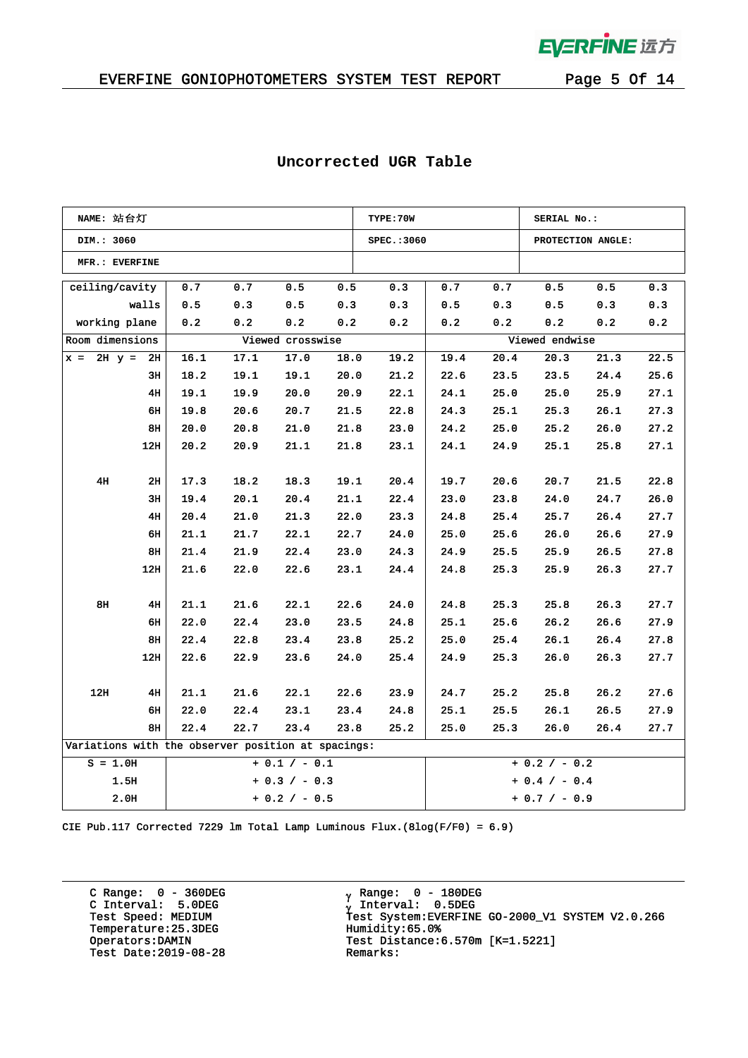

#### EVERFINE GONIOPHOTOMETERS SYSTEM TEST REPORT Page 5 Of 14

| NAME: 站台灯                                          |                         |      |      |      |                 | TYPE: 70W       |      |      | SERIAL No.:     |                   |      |
|----------------------------------------------------|-------------------------|------|------|------|-----------------|-----------------|------|------|-----------------|-------------------|------|
| DIM.: 3060                                         |                         |      |      |      |                 | SPEC.: 3060     |      |      |                 | PROTECTION ANGLE: |      |
| MFR.: EVERFINE                                     |                         |      |      |      |                 |                 |      |      |                 |                   |      |
| ceiling/cavity                                     |                         | 0.7  | 0.7  | 0.5  | 0.5             | 0.3             | 0.7  | 0.7  | 0.5             | 0.5               | 0.3  |
|                                                    | walls                   | 0.5  | 0.3  | 0.5  | 0.3             | 0.3             | 0.5  | 0.3  | 0.5             | 0.3               | 0.3  |
| working plane<br>0.2<br>0.2<br>0.2                 |                         |      | 0.2  | 0.2  | 0.2             | 0.2             | 0.2  | 0.2  | 0.2             |                   |      |
| Room dimensions<br>Viewed crosswise                |                         |      |      |      |                 |                 |      |      | Viewed endwise  |                   |      |
| $x = 2H$ $y = 2H$                                  |                         | 16.1 | 17.1 | 17.0 | 18.0            | 19.2            | 19.4 | 20.4 | 20.3            | 21.3              | 22.5 |
|                                                    | 3H                      | 18.2 | 19.1 | 19.1 | 20.0            | 21.2            | 22.6 | 23.5 | 23.5            | 24.4              | 25.6 |
|                                                    | 4H                      | 19.1 | 19.9 | 20.0 | 20.9            | 22.1            | 24.1 | 25.0 | 25.0            | 25.9              | 27.1 |
|                                                    | 6H                      | 19.8 | 20.6 | 20.7 | 21.5            | 22.8            | 24.3 | 25.1 | 25.3            | 26.1              | 27.3 |
|                                                    | 8H                      | 20.0 | 20.8 | 21.0 | 21.8            | 23.0            | 24.2 | 25.0 | 25.2            | 26.0              | 27.2 |
|                                                    | 12H                     | 20.2 | 20.9 | 21.1 | 21.8            | 23.1            | 24.1 | 24.9 | 25.1            | 25.8              | 27.1 |
|                                                    |                         |      |      |      |                 |                 |      |      |                 |                   |      |
| 4H                                                 | 2H                      | 17.3 | 18.2 | 18.3 | 19.1            | 20.4            | 19.7 | 20.6 | 20.7            | 21.5              | 22.8 |
|                                                    | 3H                      | 19.4 | 20.1 | 20.4 | 21.1            | 22.4            | 23.0 | 23.8 | 24.0            | 24.7              | 26.0 |
|                                                    | 4H                      | 20.4 | 21.0 | 21.3 | 22.0            | 23.3            | 24.8 | 25.4 | 25.7            | 26.4              | 27.7 |
|                                                    | 6н                      | 21.1 | 21.7 | 22.1 | 22.7            | 24.0            | 25.0 | 25.6 | 26.0            | 26.6              | 27.9 |
|                                                    | 8н                      | 21.4 | 21.9 | 22.4 | 23.0            | 24.3            | 24.9 | 25.5 | 25.9            | 26.5              | 27.8 |
|                                                    | 12H                     | 21.6 | 22.0 | 22.6 | 23.1            | 24.4            | 24.8 | 25.3 | 25.9            | 26.3              | 27.7 |
|                                                    |                         |      |      |      |                 |                 |      |      |                 |                   |      |
| 8H                                                 | 4H                      | 21.1 | 21.6 | 22.1 | 22.6            | 24.0            | 24.8 | 25.3 | 25.8            | 26.3              | 27.7 |
|                                                    | 6н                      | 22.0 | 22.4 | 23.0 | 23.5            | 24.8            | 25.1 | 25.6 | 26.2            | 26.6              | 27.9 |
|                                                    | 8H                      | 22.4 | 22.8 | 23.4 | 23.8            | 25.2            | 25.0 | 25.4 | 26.1            | 26.4              | 27.8 |
|                                                    | 12H                     | 22.6 | 22.9 | 23.6 | 24.0            | 25.4            | 24.9 | 25.3 | 26.0            | 26.3              | 27.7 |
|                                                    |                         |      |      |      |                 |                 |      |      |                 |                   |      |
| 12H                                                | 4H                      | 21.1 | 21.6 | 22.1 | 22.6            | 23.9            | 24.7 | 25.2 | 25.8            | 26.2              | 27.6 |
|                                                    | 6H                      | 22.0 | 22.4 | 23.1 | 23.4            | 24.8            | 25.1 | 25.5 | 26.1            | 26.5              | 27.9 |
|                                                    | 8H                      | 22.4 | 22.7 | 23.4 | 23.8            | 25.2            | 25.0 | 25.3 | 26.0            | 26.4              | 27.7 |
| Variations with the observer position at spacings: |                         |      |      |      |                 |                 |      |      |                 |                   |      |
| $S = 1.0H$<br>$+ 0.1 / - 0.1$                      |                         |      |      |      | $+ 0.2 / - 0.2$ |                 |      |      |                 |                   |      |
|                                                    | 1.5H<br>$+ 0.3 / - 0.3$ |      |      |      |                 |                 |      |      | $+ 0.4 / - 0.4$ |                   |      |
| 2.0H<br>$+ 0.2 / - 0.5$                            |                         |      |      |      |                 | $+ 0.7 / - 0.9$ |      |      |                 |                   |      |

#### **Uncorrected UGR Table**

CIE Pub.117 Corrected 7229 lm Total Lamp Luminous Flux.(8log(F/F0) = 6.9)

C Range: 0 - 360DEG C Interval: 5.0DEG Temperature:25.3DEG Humidity:65.0%<br>Operators:DAMIN Test Distance: Test Date:  $2019-08-28$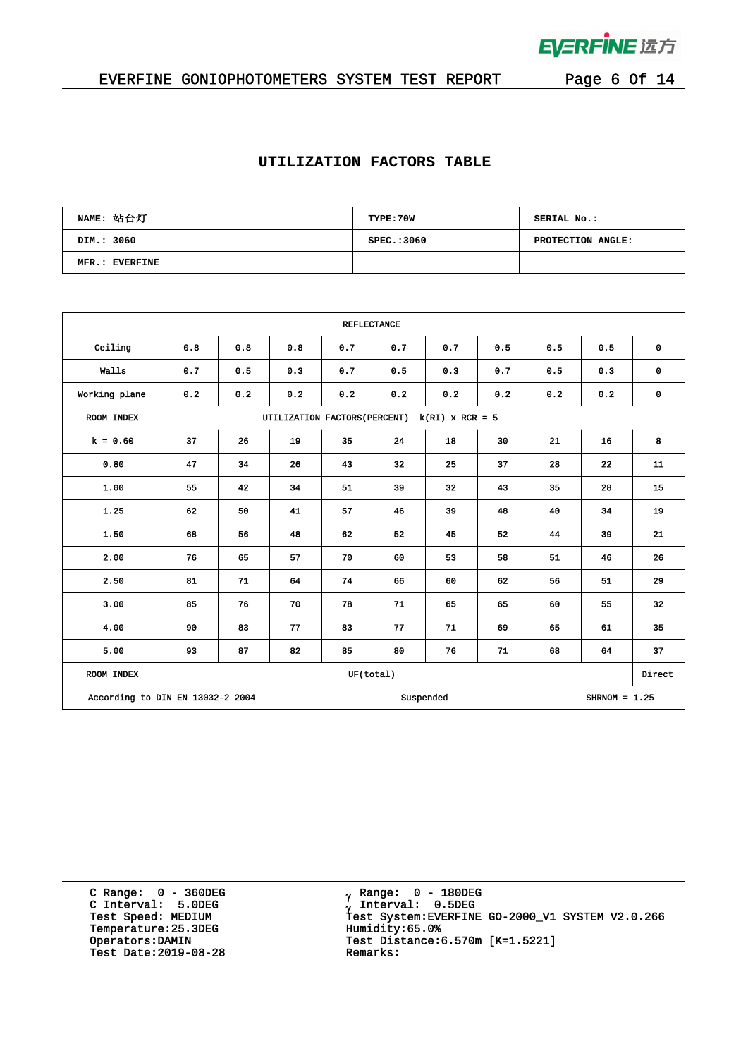

### EVERFINE GONIOPHOTOMETERS SYSTEM TEST REPORT Page 6 Of 14

#### **UTILIZATION FACTORS TABLE**

| NAME: 站台灯      | TYPE:70W    | SERIAL No.:       |
|----------------|-------------|-------------------|
| DIM.: 3060     | SPEC.: 3060 | PROTECTION ANGLE: |
| MFR.: EVERFINE |             |                   |

| <b>REFLECTANCE</b>               |     |                                                    |     |           |     |           |     |     |                 |             |  |  |
|----------------------------------|-----|----------------------------------------------------|-----|-----------|-----|-----------|-----|-----|-----------------|-------------|--|--|
| Ceiling                          | 0.8 | 0.8                                                | 0.8 | 0.7       | 0.7 | 0.7       | 0.5 | 0.5 | 0.5             | $\mathbf 0$ |  |  |
| Walls                            | 0.7 | 0.5                                                | 0.3 | 0.7       | 0.5 | 0.3       | 0.7 | 0.5 | 0.3             | $\mathbf 0$ |  |  |
| Working plane                    | 0.2 | 0.2                                                | 0.2 | 0.2       | 0.2 | 0.2       | 0.2 | 0.2 | 0.2             | 0           |  |  |
| ROOM INDEX                       |     | $k(RI)$ x RCR = 5<br>UTILIZATION FACTORS (PERCENT) |     |           |     |           |     |     |                 |             |  |  |
| $k = 0.60$                       | 37  | 26                                                 | 19  | 35        | 24  | 18        | 30  | 21  | 16              | 8           |  |  |
| 0.80                             | 47  | 34                                                 | 26  | 43        | 32  | 25        | 37  | 28  | 22              | 11          |  |  |
| 1.00                             | 55  | 42                                                 | 34  | 51        | 39  | 32        | 43  | 35  | 28              | 15          |  |  |
| 1.25                             | 62  | 50                                                 | 41  | 57        | 46  | 39        | 48  | 40  | 34              | 19          |  |  |
| 1.50                             | 68  | 56                                                 | 48  | 62        | 52  | 45        | 52  | 44  | 39              | 21          |  |  |
| 2.00                             | 76  | 65                                                 | 57  | 70        | 60  | 53        | 58  | 51  | 46              | 26          |  |  |
| 2.50                             | 81  | 71                                                 | 64  | 74        | 66  | 60        | 62  | 56  | 51              | 29          |  |  |
| 3.00                             | 85  | 76                                                 | 70  | 78        | 71  | 65        | 65  | 60  | 55              | 32          |  |  |
| 4.00                             | 90  | 83                                                 | 77  | 83        | 77  | 71        | 69  | 65  | 61              | 35          |  |  |
| 5.00                             | 93  | 87                                                 | 82  | 85        | 80  | 76        | 71  | 68  | 64              | 37          |  |  |
| <b>ROOM INDEX</b>                |     |                                                    |     | UF(total) |     |           |     |     |                 | Direct      |  |  |
| According to DIN EN 13032-2 2004 |     |                                                    |     |           |     | Suspended |     |     | SHRNOM = $1.25$ |             |  |  |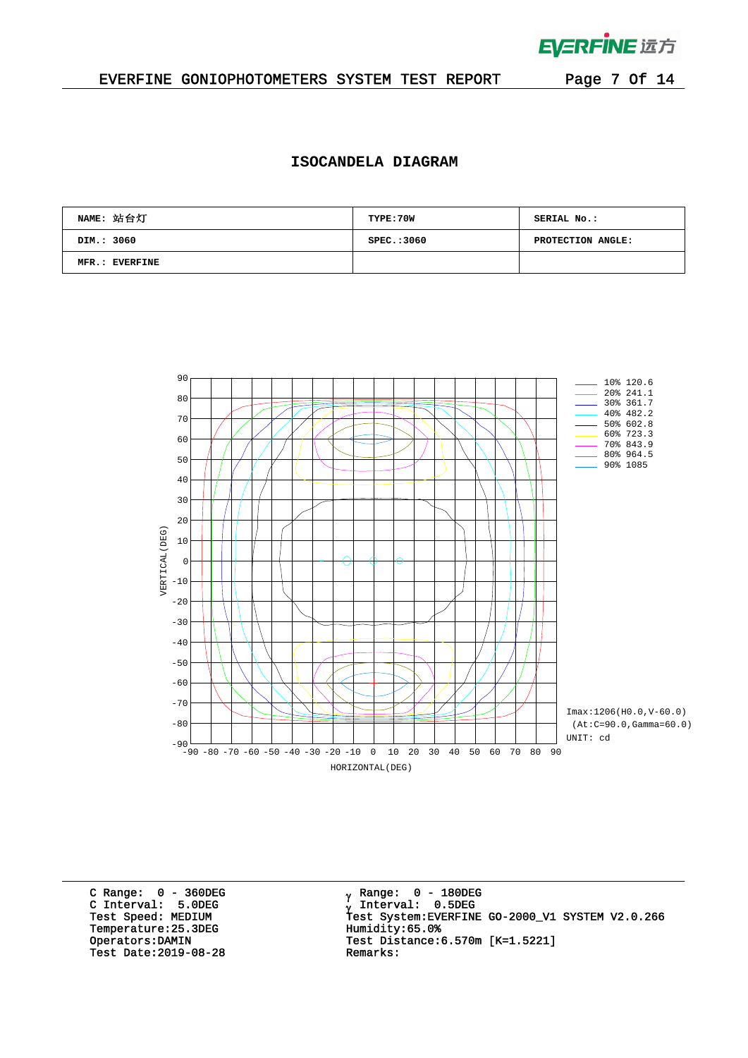

 $\mathcal{L}^{\mathcal{L}}$ 

#### EVERFINE GONIOPHOTOMETERS SYSTEM TEST REPORT Page 7 Of 14

#### **ISOCANDELA DIAGRAM**

| NAME: 站台灯      | TYPE: 70W  | SERIAL No.:       |
|----------------|------------|-------------------|
| DIM.: 3060     | SPEC.:3060 | PROTECTION ANGLE: |
| MFR.: EVERFINE |            |                   |



C Range: 0 - 360DEG C Interval: 5.0DEG Temperature:25.3DEG Humidity:65.0%<br>Operators:DAMIN Test Distance:6 Test Date:  $2019-08-28$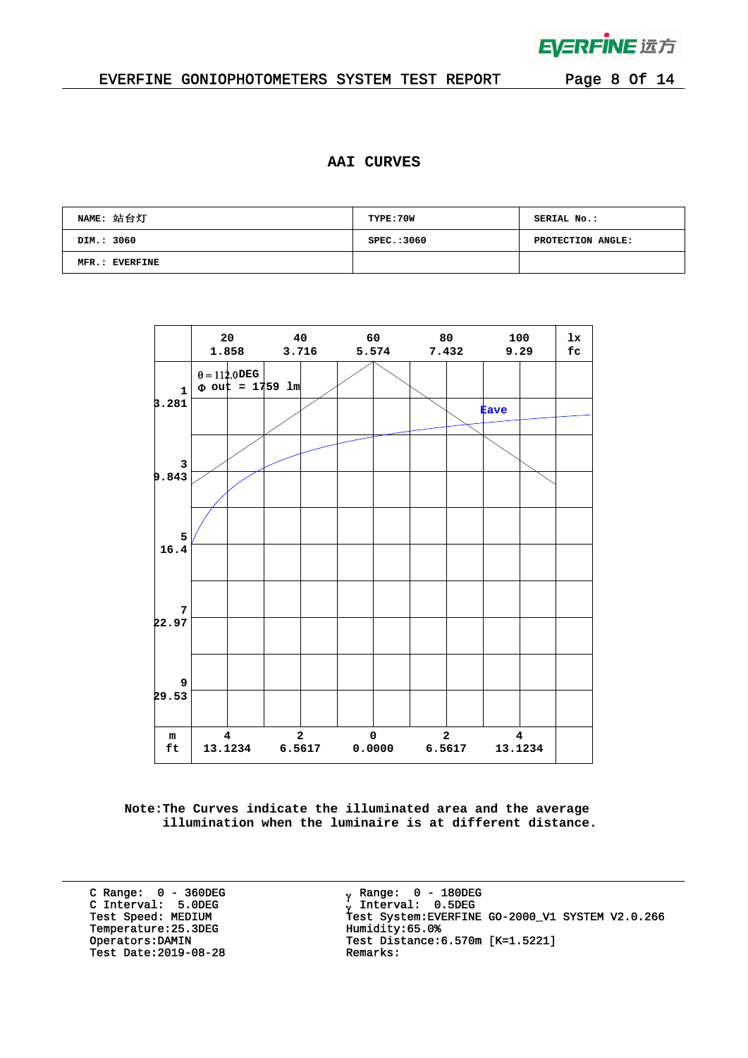

 $\bar{z}$ 

#### EVERFINE GONIOPHOTOMETERS SYSTEM TEST REPORT Page 8 Of 14

#### **AAI CURVES**

| NAME: 站台灯      | TYPE: 70W   | SERIAL No.:       |
|----------------|-------------|-------------------|
| DIM.: 3060     | SPEC.: 3060 | PROTECTION ANGLE: |
| MFR.: EVERFINE |             |                   |



**Note:The Curves indicate the illuminated area and the average illumination when the luminaire is at different distance.**

C Range: 0 - 360DEG C Interval: 5.0DEG Temperature:25.3DEG Humidity:65.0%<br>Operators:DAMIN Test Distance:6 Test Date:  $2019-08-28$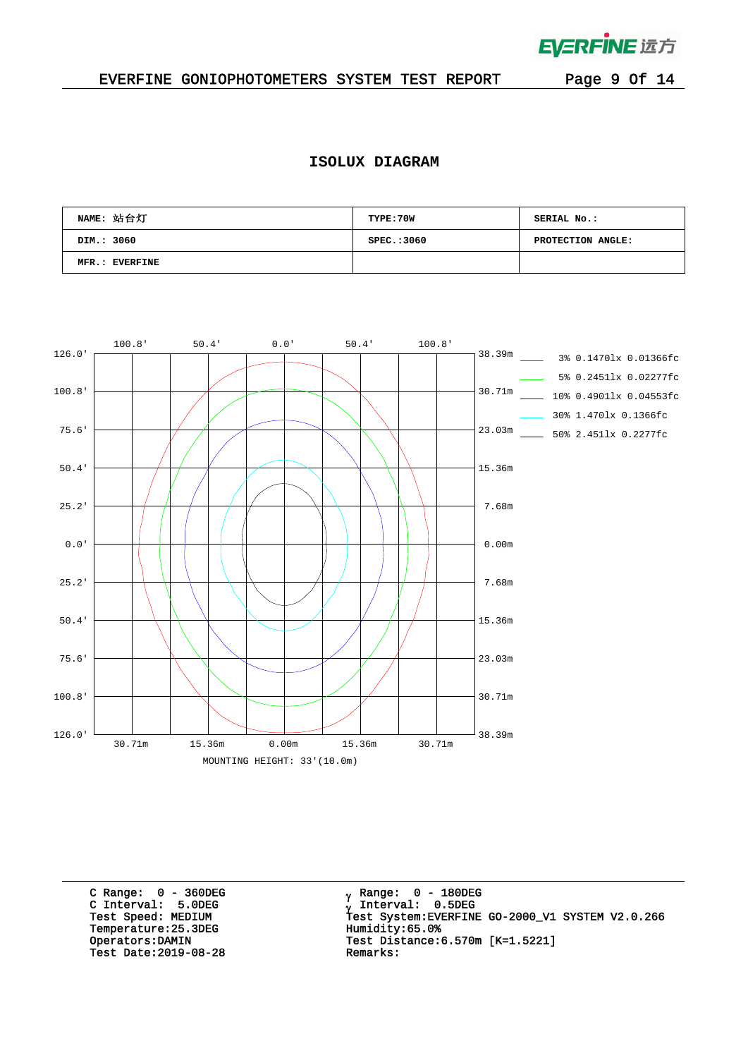

 $\mathcal{L}^{\text{max}}$ 

### EVERFINE GONIOPHOTOMETERS SYSTEM TEST REPORT Page 9 Of 14

#### **ISOLUX DIAGRAM**

| NAME: 站台灯      | TYPE: 70W   | SERIAL No.:       |
|----------------|-------------|-------------------|
| DIM.: 3060     | SPEC.: 3060 | PROTECTION ANGLE: |
| MFR.: EVERFINE |             |                   |



C Range: 0 - 360DEG C Interval: 5.0DEG Temperature:25.3DEG Humidity:65.0%<br>Operators:DAMIN Test Distance:6 Test Date:  $2019-08-28$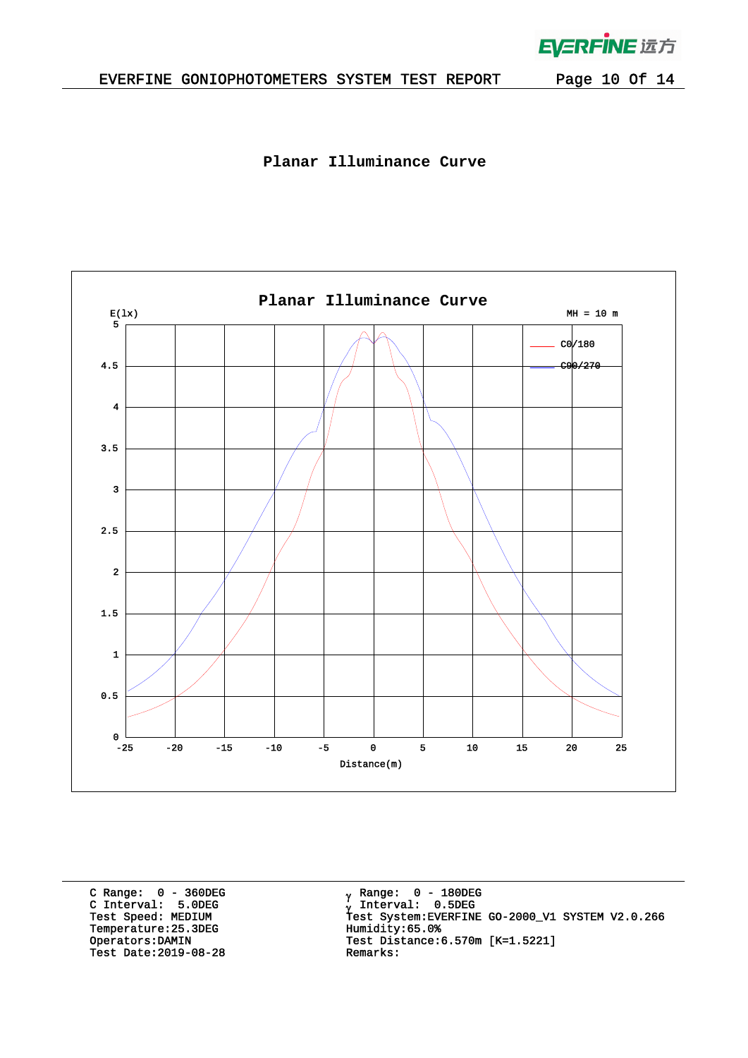

 $\mathcal{L}^{\mathcal{L}}$ 

**Planar Illuminance Curve**



C Range: 0 - 360DEG C Interval: 5.0DEG Temperature:25.3DEG Humidity:65.0%<br>Operators:DAMIN Test Distance:6 Test Date:  $2019-08-28$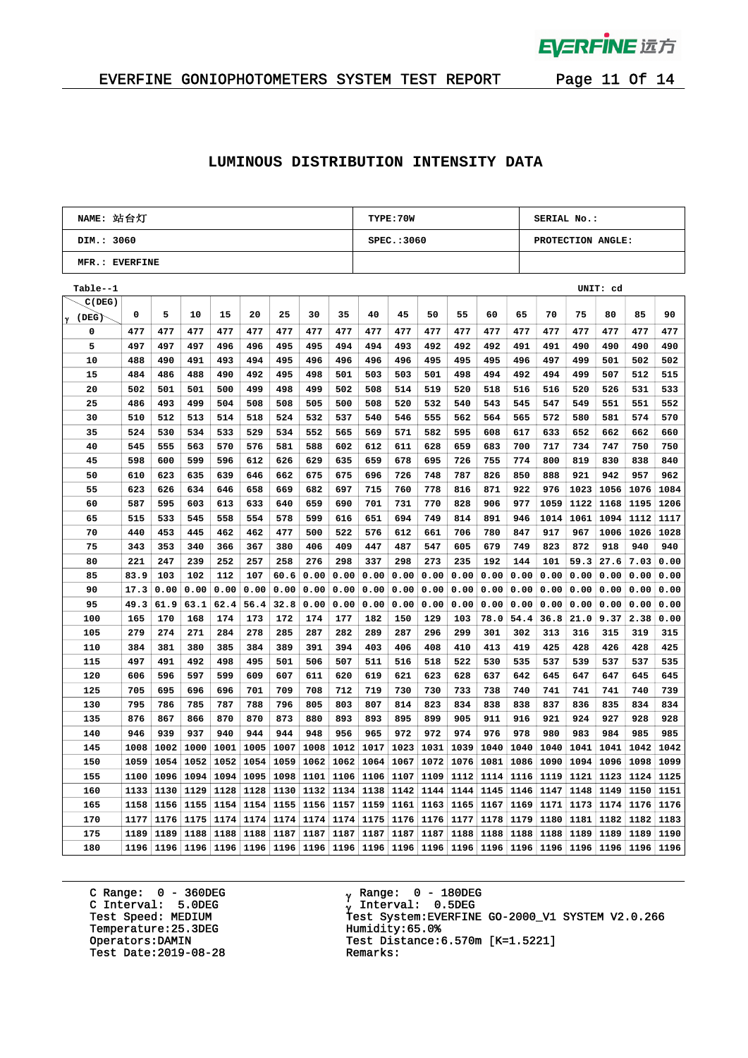

 $\bar{L}$ 

## EVERFINE GONIOPHOTOMETERS SYSTEM TEST REPORT Page 11 Of 14

#### **LUMINOUS DISTRIBUTION INTENSITY DATA**

| NAME: 站台灯      |          | TYPE: 70W |      |      |      |      | SERIAL No.: |      |      |            |      |      |      |      |                   |      |      |      |      |  |
|----------------|----------|-----------|------|------|------|------|-------------|------|------|------------|------|------|------|------|-------------------|------|------|------|------|--|
| DIM.: 3060     |          |           |      |      |      |      |             |      |      | SPEC.:3060 |      |      |      |      | PROTECTION ANGLE: |      |      |      |      |  |
| MFR.: EVERFINE |          |           |      |      |      |      |             |      |      |            |      |      |      |      |                   |      |      |      |      |  |
| Table--1       | UNIT: cd |           |      |      |      |      |             |      |      |            |      |      |      |      |                   |      |      |      |      |  |
| C(DEG)         |          |           |      |      |      |      |             |      |      |            |      |      |      |      |                   |      |      |      |      |  |
| (DEG)<br>γ     | 0        | 5         | 10   | 15   | 20   | 25   | 30          | 35   | 40   | 45         | 50   | 55   | 60   | 65   | 70                | 75   | 80   | 85   | 90   |  |
| 0              | 477      | 477       | 477  | 477  | 477  | 477  | 477         | 477  | 477  | 477        | 477  | 477  | 477  | 477  | 477               | 477  | 477  | 477  | 477  |  |
| 5              | 497      | 497       | 497  | 496  | 496  | 495  | 495         | 494  | 494  | 493        | 492  | 492  | 492  | 491  | 491               | 490  | 490  | 490  | 490  |  |
| 10             | 488      | 490       | 491  | 493  | 494  | 495  | 496         | 496  | 496  | 496        | 495  | 495  | 495  | 496  | 497               | 499  | 501  | 502  | 502  |  |
| 15             | 484      | 486       | 488  | 490  | 492  | 495  | 498         | 501  | 503  | 503        | 501  | 498  | 494  | 492  | 494               | 499  | 507  | 512  | 515  |  |
| 20             | 502      | 501       | 501  | 500  | 499  | 498  | 499         | 502  | 508  | 514        | 519  | 520  | 518  | 516  | 516               | 520  | 526  | 531  | 533  |  |
| 25             | 486      | 493       | 499  | 504  | 508  | 508  | 505         | 500  | 508  | 520        | 532  | 540  | 543  | 545  | 547               | 549  | 551  | 551  | 552  |  |
| 30             | 510      | 512       | 513  | 514  | 518  | 524  | 532         | 537  | 540  | 546        | 555  | 562  | 564  | 565  | 572               | 580  | 581  | 574  | 570  |  |
| 35             | 524      | 530       | 534  | 533  | 529  | 534  | 552         | 565  | 569  | 571        | 582  | 595  | 608  | 617  | 633               | 652  | 662  | 662  | 660  |  |
| 40             | 545      | 555       | 563  | 570  | 576  | 581  | 588         | 602  | 612  | 611        | 628  | 659  | 683  | 700  | 717               | 734  | 747  | 750  | 750  |  |
| 45             | 598      | 600       | 599  | 596  | 612  | 626  | 629         | 635  | 659  | 678        | 695  | 726  | 755  | 774  | 800               | 819  | 830  | 838  | 840  |  |
| 50             | 610      | 623       | 635  | 639  | 646  | 662  | 675         | 675  | 696  | 726        | 748  | 787  | 826  | 850  | 888               | 921  | 942  | 957  | 962  |  |
| 55             | 623      | 626       | 634  | 646  | 658  | 669  | 682         | 697  | 715  | 760        | 778  | 816  | 871  | 922  | 976               | 1023 | 1056 | 1076 | 1084 |  |
| 60             | 587      | 595       | 603  | 613  | 633  | 640  | 659         | 690  | 701  | 731        | 770  | 828  | 906  | 977  | 1059              | 1122 | 1168 | 1195 | 1206 |  |
| 65             | 515      | 533       | 545  | 558  | 554  | 578  | 599         | 616  | 651  | 694        | 749  | 814  | 891  | 946  | 1014              | 1061 | 1094 | 1112 | 1117 |  |
| 70             | 440      | 453       | 445  | 462  | 462  | 477  | 500         | 522  | 576  | 612        | 661  | 706  | 780  | 847  | 917               | 967  | 1006 | 1026 | 1028 |  |
| 75             | 343      | 353       | 340  | 366  | 367  | 380  | 406         | 409  | 447  | 487        | 547  | 605  | 679  | 749  | 823               | 872  | 918  | 940  | 940  |  |
| 80             | 221      | 247       | 239  | 252  | 257  | 258  | 276         | 298  | 337  | 298        | 273  | 235  | 192  | 144  | 101               | 59.3 | 27.6 | 7.03 | 0.00 |  |
| 85             | 83.9     | 103       | 102  | 112  | 107  | 60.6 | 0.00        | 0.00 | 0.00 | 0.00       | 0.00 | 0.00 | 0.00 | 0.00 | 0.00              | 0.00 | 0.00 | 0.00 | 0.00 |  |
| 90             | 17.3     | 0.00      | 0.00 | 0.00 | 0.00 | 0.00 | 0.00        | 0.00 | 0.00 | 0.00       | 0.00 | 0.00 | 0.00 | 0.00 | 0.00              | 0.00 | 0.00 | 0.00 | 0.00 |  |
| 95             | 49.3     | 61.9      | 63.1 | 62.4 | 56.4 | 32.8 | 0.00        | 0.00 | 0.00 | 0.00       | 0.00 | 0.00 | 0.00 | 0.00 | 0.00              | 0.00 | 0.00 | 0.00 | 0.00 |  |
| 100            | 165      | 170       | 168  | 174  | 173  | 172  | 174         | 177  | 182  | 150        | 129  | 103  | 78.0 | 54.4 | 36.8              | 21.0 | 9.37 | 2.38 | 0.00 |  |
| 105            | 279      | 274       | 271  | 284  | 278  | 285  | 287         | 282  | 289  | 287        | 296  | 299  | 301  | 302  | 313               | 316  | 315  | 319  | 315  |  |
| 110            | 384      | 381       | 380  | 385  | 384  | 389  | 391         | 394  | 403  | 406        | 408  | 410  | 413  | 419  | 425               | 428  | 426  | 428  | 425  |  |
| 115            | 497      | 491       | 492  | 498  | 495  | 501  | 506         | 507  | 511  | 516        | 518  | 522  | 530  | 535  | 537               | 539  | 537  | 537  | 535  |  |
| 120            | 606      | 596       | 597  | 599  | 609  | 607  | 611         | 620  | 619  | 621        | 623  | 628  | 637  | 642  | 645               | 647  | 647  | 645  | 645  |  |
| 125            | 705      | 695       | 696  | 696  | 701  | 709  | 708         | 712  | 719  | 730        | 730  | 733  | 738  | 740  | 741               | 741  | 741  | 740  | 739  |  |
| 130            | 795      | 786       | 785  | 787  | 788  | 796  | 805         | 803  | 807  | 814        | 823  | 834  | 838  | 838  | 837               | 836  | 835  | 834  | 834  |  |
| 135            | 876      | 867       | 866  | 870  | 870  | 873  | 880         | 893  | 893  | 895        | 899  | 905  | 911  | 916  | 921               | 924  | 927  | 928  | 928  |  |
| 140            | 946      | 939       | 937  | 940  | 944  | 944  | 948         | 956  | 965  | 972        | 972  | 974  | 976  | 978  | 980               | 983  | 984  | 985  | 985  |  |
| 145            | 1008     | 1002      | 1000 | 1001 | 1005 | 1007 | 1008        | 1012 | 1017 | 1023       | 1031 | 1039 | 1040 | 1040 | 1040              | 1041 | 1041 | 1042 | 1042 |  |
| 150            | 1059     | 1054      | 1052 | 1052 | 1054 | 1059 | 1062        | 1062 | 1064 | 1067       | 1072 | 1076 | 1081 | 1086 | 1090              | 1094 | 1096 | 1098 | 1099 |  |
| 155            | 1100     | 1096      | 1094 | 1094 | 1095 | 1098 | 1101        | 1106 | 1106 | 1107       | 1109 | 1112 | 1114 | 1116 | 1119              | 1121 | 1123 | 1124 | 1125 |  |
| 160            | 1133     | 1130      | 1129 | 1128 | 1128 | 1130 | 1132        | 1134 | 1138 | 1142       | 1144 | 1144 | 1145 | 1146 | 1147              | 1148 | 1149 | 1150 | 1151 |  |
| 165            | 1158     | 1156      | 1155 | 1154 | 1154 | 1155 | 1156        | 1157 | 1159 | 1161       | 1163 | 1165 | 1167 | 1169 | 1171              | 1173 | 1174 | 1176 | 1176 |  |
| 170            | 1177     | 1176      | 1175 | 1174 | 1174 | 1174 | 1174        | 1174 | 1175 | 1176       | 1176 | 1177 | 1178 | 1179 | 1180              | 1181 | 1182 | 1182 | 1183 |  |
| 175            | 1189     | 1189      | 1188 | 1188 | 1188 | 1187 | 1187        | 1187 | 1187 | 1187       | 1187 | 1188 | 1188 | 1188 | 1188              | 1189 | 1189 | 1189 | 1190 |  |
| 180            | 1196     | 1196      | 1196 | 1196 | 1196 | 1196 | 1196        | 1196 | 1196 | 1196       | 1196 | 1196 | 1196 | 1196 | 1196              | 1196 | 1196 | 1196 | 1196 |  |

C Range: 0 - 360DEG C Interval: 5.0DEG Temperature:25.3DEG Humidity:65.0%<br>Operators:DAMIN Test Distance: Test Date:  $2019-08-28$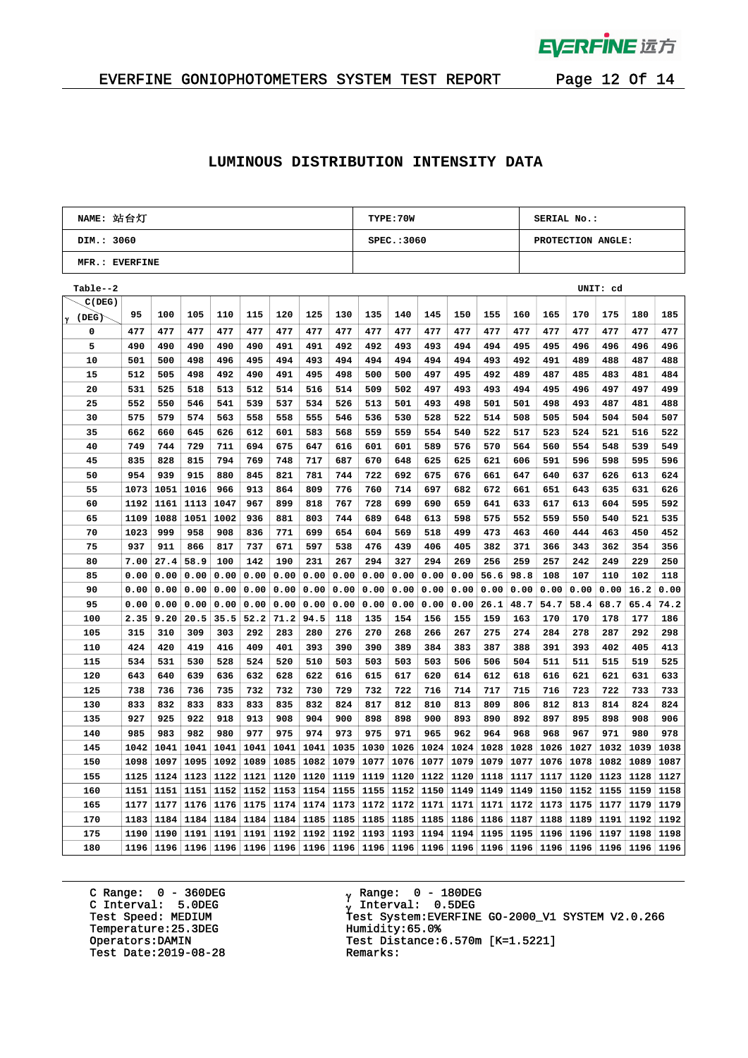

# EVERFINE GONIOPHOTOMETERS SYSTEM TEST REPORT Page 12 Of 14

#### **LUMINOUS DISTRIBUTION INTENSITY DATA**

|                | NAME: 站台灯 |      |      |      |                |      |      |      |      | <b>TYPE:70W</b> |      |      |      |      |                   | SERIAL No.: |           |      |      |  |  |  |
|----------------|-----------|------|------|------|----------------|------|------|------|------|-----------------|------|------|------|------|-------------------|-------------|-----------|------|------|--|--|--|
| DIM.: 3060     |           |      |      |      |                |      |      |      |      | SPEC.:3060      |      |      |      |      | PROTECTION ANGLE: |             |           |      |      |  |  |  |
| MFR.: EVERFINE |           |      |      |      |                |      |      |      |      |                 |      |      |      |      |                   |             |           |      |      |  |  |  |
| Table--2       |           |      |      |      |                |      |      |      |      |                 |      |      |      |      |                   |             | UNIT: cd  |      |      |  |  |  |
| C(DEG)         |           |      |      |      |                |      |      |      |      |                 |      |      |      |      |                   |             |           |      |      |  |  |  |
| (DEG)<br>γ     | 95        | 100  | 105  | 110  | 115            | 120  | 125  | 130  | 135  | 140             | 145  | 150  | 155  | 160  | 165               | 170         | 175       | 180  | 185  |  |  |  |
| 0              | 477       | 477  | 477  | 477  | 477            | 477  | 477  | 477  | 477  | 477             | 477  | 477  | 477  | 477  | 477               | 477         | 477       | 477  | 477  |  |  |  |
| 5              | 490       | 490  | 490  | 490  | 490            | 491  | 491  | 492  | 492  | 493             | 493  | 494  | 494  | 495  | 495               | 496         | 496       | 496  | 496  |  |  |  |
| 10             | 501       | 500  | 498  | 496  | 495            | 494  | 493  | 494  | 494  | 494             | 494  | 494  | 493  | 492  | 491               | 489         | 488       | 487  | 488  |  |  |  |
| 15             | 512       | 505  | 498  | 492  | 490            | 491  | 495  | 498  | 500  | 500             | 497  | 495  | 492  | 489  | 487               | 485         | 483       | 481  | 484  |  |  |  |
| 20             | 531       | 525  | 518  | 513  | 512            | 514  | 516  | 514  | 509  | 502             | 497  | 493  | 493  | 494  | 495               | 496         | 497       | 497  | 499  |  |  |  |
| 25             | 552       | 550  | 546  | 541  | 539            | 537  | 534  | 526  | 513  | 501             | 493  | 498  | 501  | 501  | 498               | 493         | 487       | 481  | 488  |  |  |  |
| 30             | 575       | 579  | 574  | 563  | 558            | 558  | 555  | 546  | 536  | 530             | 528  | 522  | 514  | 508  | 505               | 504         | 504       | 504  | 507  |  |  |  |
| 35             | 662       | 660  | 645  | 626  | 612            | 601  | 583  | 568  | 559  | 559             | 554  | 540  | 522  | 517  | 523               | 524         | 521       | 516  | 522  |  |  |  |
| 40             | 749       | 744  | 729  | 711  | 694            | 675  | 647  | 616  | 601  | 601             | 589  | 576  | 570  | 564  | 560               | 554         | 548       | 539  | 549  |  |  |  |
| 45             | 835       | 828  | 815  | 794  | 769            | 748  | 717  | 687  | 670  | 648             | 625  | 625  | 621  | 606  | 591               | 596         | 598       | 595  | 596  |  |  |  |
| 50             | 954       | 939  | 915  | 880  | 845            | 821  | 781  | 744  | 722  | 692             | 675  | 676  | 661  | 647  | 640               | 637         | 626       | 613  | 624  |  |  |  |
| 55             | 1073      | 1051 | 1016 | 966  | 913            | 864  | 809  | 776  | 760  | 714             | 697  | 682  | 672  | 661  | 651               | 643         | 635       | 631  | 626  |  |  |  |
| 60             | 1192      | 1161 | 1113 | 1047 | 967            | 899  | 818  | 767  | 728  | 699             | 690  | 659  | 641  | 633  | 617               | 613         | 604       | 595  | 592  |  |  |  |
| 65             | 1109      | 1088 | 1051 | 1002 | 936            | 881  | 803  | 744  | 689  | 648             | 613  | 598  | 575  | 552  | 559               | 550         | 540       | 521  | 535  |  |  |  |
| 70             | 1023      | 999  | 958  | 908  | 836            | 771  | 699  | 654  | 604  | 569             | 518  | 499  | 473  | 463  | 460               | 444         | 463       | 450  | 452  |  |  |  |
| 75             | 937       | 911  | 866  | 817  | 737            | 671  | 597  | 538  | 476  | 439             | 406  | 405  | 382  | 371  | 366               | 343         | 362       | 354  | 356  |  |  |  |
| 80             | 7.00      | 27.4 | 58.9 | 100  | 142            | 190  | 231  | 267  | 294  | 327             | 294  | 269  | 256  | 259  | 257               | 242         | 249       | 229  | 250  |  |  |  |
| 85             | 0.00      | 0.00 | 0.00 | 0.00 | 0.00           | 0.00 | 0.00 | 0.00 | 0.00 | 0.00            | 0.00 | 0.00 | 56.6 | 98.8 | 108               | 107         | 110       | 102  | 118  |  |  |  |
| 90             | 0.00      | 0.00 | 0.00 | 0.00 | 0.00           | 0.00 | 0.00 | 0.00 | 0.00 | 0.00            | 0.00 | 0.00 | 0.00 | 0.00 | 0.00              | 0.00        | 0.00      | 16.2 | 0.00 |  |  |  |
| 95             | 0.00      | 0.00 | 0.00 | 0.00 | 0.00           | 0.00 | 0.00 | 0.00 | 0.00 | 0.00            | 0.00 | 0.00 | 26.1 | 48.7 | 54.7              | 58.4        | 68.7      | 65.4 | 74.2 |  |  |  |
| 100            | 2.35      | 9.20 | 20.5 | 35.5 | 52.2           | 71.2 | 94.5 | 118  | 135  | 154             | 156  | 155  | 159  | 163  | 170               | 170         | 178       | 177  | 186  |  |  |  |
| 105            | 315       | 310  | 309  | 303  | 292            | 283  | 280  | 276  | 270  | 268             | 266  | 267  | 275  | 274  | 284               | 278         | 287       | 292  | 298  |  |  |  |
| 110            | 424       | 420  | 419  | 416  | 409            | 401  | 393  | 390  | 390  | 389             | 384  | 383  | 387  | 388  | 391               | 393         | 402       | 405  | 413  |  |  |  |
| 115            | 534       | 531  | 530  | 528  | 524            | 520  | 510  | 503  | 503  | 503             | 503  | 506  | 506  | 504  | 511               | 511         | 515       | 519  | 525  |  |  |  |
| 120            | 643       | 640  | 639  | 636  | 632            | 628  | 622  | 616  | 615  | 617             | 620  | 614  | 612  | 618  | 616               | 621         | 621       | 631  | 633  |  |  |  |
| 125            | 738       | 736  | 736  | 735  | 732            | 732  | 730  | 729  | 732  | 722             | 716  | 714  | 717  | 715  | 716               | 723         | 722       | 733  | 733  |  |  |  |
| 130            | 833       | 832  | 833  | 833  | 833            | 835  | 832  | 824  | 817  | 812             | 810  | 813  | 809  | 806  | 812               | 813         | 814       | 824  | 824  |  |  |  |
| 135            | 927       | 925  | 922  | 918  | 913            | 908  | 904  | 900  | 898  | 898             | 900  | 893  | 890  | 892  | 897               | 895         | 898       | 908  | 906  |  |  |  |
| 140            | 985       | 983  | 982  | 980  | 977            | 975  | 974  | 973  | 975  | 971             | 965  | 962  | 964  | 968  | 968               | 967         | 971       | 980  | 978  |  |  |  |
| 145            | 1042      | 1041 | 1041 | 1041 | 1041           | 1041 | 1041 | 1035 | 1030 | 1026            | 1024 | 1024 | 1028 | 1028 | 1026              | 1027        | 1032      | 1039 | 1038 |  |  |  |
| 150            | 1098      | 1097 | 1095 | 1092 | 1089           | 1085 | 1082 | 1079 | 1077 | 1076            | 1077 | 1079 | 1079 | 1077 | 1076              | 1078        | 1082      | 1089 | 1087 |  |  |  |
| 155            | 1125      | 1124 | 1123 | 1122 | 1121           | 1120 | 1120 | 1119 | 1119 | 1120            | 1122 | 1120 | 1118 | 1117 | 1117              | 1120        | 1123      | 1128 | 1127 |  |  |  |
| 160            | 1151      | 1151 | 1151 | 1152 | 1152           | 1153 | 1154 | 1155 | 1155 | 1152            | 1150 | 1149 | 1149 | 1149 | 1150              | 1152        | 1155      | 1159 | 1158 |  |  |  |
| 165            | 1177      | 1177 | 1176 | 1176 | 1175           | 1174 | 1174 | 1173 | 1172 | 1172            | 1171 | 1171 | 1171 | 1172 | 1173              | 1175        | 1177      | 1179 | 1179 |  |  |  |
| 170            | 1183      | 1184 | 1184 | 1184 | 1184           | 1184 | 1185 | 1185 | 1185 | 1185            | 1185 | 1186 | 1186 | 1187 | 1188              | 1189        | 1191      | 1192 | 1192 |  |  |  |
| 175            | 1190      | 1190 | 1191 | 1191 | 1191           | 1192 | 1192 | 1192 | 1193 | 1193            | 1194 | 1194 | 1195 | 1195 | 1196              | 1196        | 1197      | 1198 | 1198 |  |  |  |
| 180            | 1196      | 1196 | 1196 |      | 1196 1196 1196 |      | 1196 | 1196 | 1196 | 1196            | 1196 | 1196 | 1196 | 1196 | 1196              |             | 1196 1196 | 1196 | 1196 |  |  |  |

C Range: 0 - 360DEG C Interval: 5.0DEG Temperature:25.3DEG Humidity:65.0%<br>Operators:DAMIN Test Distance: Test Date:  $2019-08-28$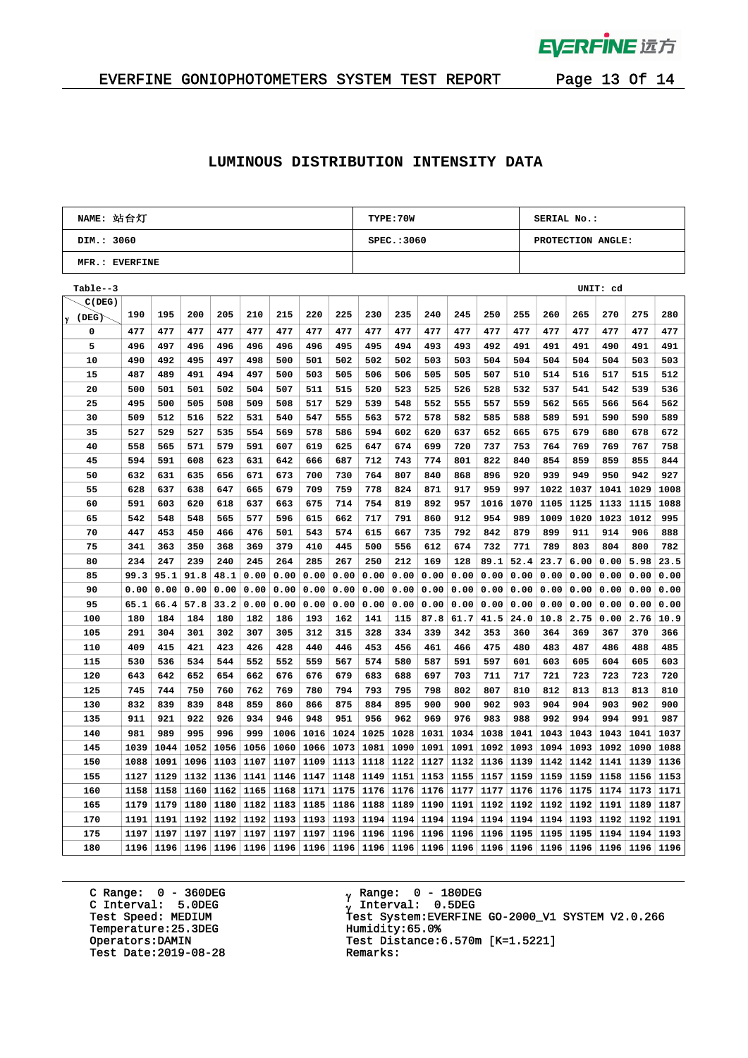

## EVERFINE GONIOPHOTOMETERS SYSTEM TEST REPORT Page 13 Of 14

#### **LUMINOUS DISTRIBUTION INTENSITY DATA**

| NAME: 站台灯      |      |      |      |      |      |      |      |      | TYPE: 70W |             |      |      |      |      | <b>SERIAL No.:</b> |      |          |      |      |  |
|----------------|------|------|------|------|------|------|------|------|-----------|-------------|------|------|------|------|--------------------|------|----------|------|------|--|
| DIM.: 3060     |      |      |      |      |      |      |      |      |           | SPEC.: 3060 |      |      |      |      | PROTECTION ANGLE:  |      |          |      |      |  |
| MFR.: EVERFINE |      |      |      |      |      |      |      |      |           |             |      |      |      |      |                    |      |          |      |      |  |
| $Table - 3$    |      |      |      |      |      |      |      |      |           |             |      |      |      |      |                    |      | UNIT: cd |      |      |  |
| C(DEG)         |      |      |      |      |      |      |      |      |           |             |      |      |      |      |                    |      |          |      |      |  |
| (DEG)<br>γ     | 190  | 195  | 200  | 205  | 210  | 215  | 220  | 225  | 230       | 235         | 240  | 245  | 250  | 255  | 260                | 265  | 270      | 275  | 280  |  |
| 0              | 477  | 477  | 477  | 477  | 477  | 477  | 477  | 477  | 477       | 477         | 477  | 477  | 477  | 477  | 477                | 477  | 477      | 477  | 477  |  |
| 5              | 496  | 497  | 496  | 496  | 496  | 496  | 496  | 495  | 495       | 494         | 493  | 493  | 492  | 491  | 491                | 491  | 490      | 491  | 491  |  |
| 10             | 490  | 492  | 495  | 497  | 498  | 500  | 501  | 502  | 502       | 502         | 503  | 503  | 504  | 504  | 504                | 504  | 504      | 503  | 503  |  |
| 15             | 487  | 489  | 491  | 494  | 497  | 500  | 503  | 505  | 506       | 506         | 505  | 505  | 507  | 510  | 514                | 516  | 517      | 515  | 512  |  |
| 20             | 500  | 501  | 501  | 502  | 504  | 507  | 511  | 515  | 520       | 523         | 525  | 526  | 528  | 532  | 537                | 541  | 542      | 539  | 536  |  |
| 25             | 495  | 500  | 505  | 508  | 509  | 508  | 517  | 529  | 539       | 548         | 552  | 555  | 557  | 559  | 562                | 565  | 566      | 564  | 562  |  |
| 30             | 509  | 512  | 516  | 522  | 531  | 540  | 547  | 555  | 563       | 572         | 578  | 582  | 585  | 588  | 589                | 591  | 590      | 590  | 589  |  |
| 35             | 527  | 529  | 527  | 535  | 554  | 569  | 578  | 586  | 594       | 602         | 620  | 637  | 652  | 665  | 675                | 679  | 680      | 678  | 672  |  |
| 40             | 558  | 565  | 571  | 579  | 591  | 607  | 619  | 625  | 647       | 674         | 699  | 720  | 737  | 753  | 764                | 769  | 769      | 767  | 758  |  |
| 45             | 594  | 591  | 608  | 623  | 631  | 642  | 666  | 687  | 712       | 743         | 774  | 801  | 822  | 840  | 854                | 859  | 859      | 855  | 844  |  |
| 50             | 632  | 631  | 635  | 656  | 671  | 673  | 700  | 730  | 764       | 807         | 840  | 868  | 896  | 920  | 939                | 949  | 950      | 942  | 927  |  |
| 55             | 628  | 637  | 638  | 647  | 665  | 679  | 709  | 759  | 778       | 824         | 871  | 917  | 959  | 997  | 1022               | 1037 | 1041     | 1029 | 1008 |  |
| 60             | 591  | 603  | 620  | 618  | 637  | 663  | 675  | 714  | 754       | 819         | 892  | 957  | 1016 | 1070 | 1105               | 1125 | 1133     | 1115 | 1088 |  |
| 65             | 542  | 548  | 548  | 565  | 577  | 596  | 615  | 662  | 717       | 791         | 860  | 912  | 954  | 989  | 1009               | 1020 | 1023     | 1012 | 995  |  |
| 70             | 447  | 453  | 450  | 466  | 476  | 501  | 543  | 574  | 615       | 667         | 735  | 792  | 842  | 879  | 899                | 911  | 914      | 906  | 888  |  |
| 75             | 341  | 363  | 350  | 368  | 369  | 379  | 410  | 445  | 500       | 556         | 612  | 674  | 732  | 771  | 789                | 803  | 804      | 800  | 782  |  |
| 80             | 234  | 247  | 239  | 240  | 245  | 264  | 285  | 267  | 250       | 212         | 169  | 128  | 89.1 | 52.4 | 23.7               | 6.00 | 0.00     | 5.98 | 23.5 |  |
| 85             | 99.3 | 95.1 | 91.8 | 48.1 | 0.00 | 0.00 | 0.00 | 0.00 | 0.00      | 0.00        | 0.00 | 0.00 | 0.00 | 0.00 | 0.00               | 0.00 | 0.00     | 0.00 | 0.00 |  |
| 90             | 0.00 | 0.00 | 0.00 | 0.00 | 0.00 | 0.00 | 0.00 | 0.00 | 0.00      | 0.00        | 0.00 | 0.00 | 0.00 | 0.00 | 0.00               | 0.00 | 0.00     | 0.00 | 0.00 |  |
| 95             | 65.1 | 66.4 | 57.8 | 33.2 | 0.00 | 0.00 | 0.00 | 0.00 | 0.00      | 0.00        | 0.00 | 0.00 | 0.00 | 0.00 | 0.00               | 0.00 | 0.00     | 0.00 | 0.00 |  |
| 100            | 180  | 184  | 184  | 180  | 182  | 186  | 193  | 162  | 141       | 115         | 87.8 | 61.7 | 41.5 | 24.0 | 10.8               | 2.75 | 0.00     | 2.76 | 10.9 |  |
| 105            | 291  | 304  | 301  | 302  | 307  | 305  | 312  | 315  | 328       | 334         | 339  | 342  | 353  | 360  | 364                | 369  | 367      | 370  | 366  |  |
| 110            | 409  | 415  | 421  | 423  | 426  | 428  | 440  | 446  | 453       | 456         | 461  | 466  | 475  | 480  | 483                | 487  | 486      | 488  | 485  |  |
| 115            | 530  | 536  | 534  | 544  | 552  | 552  | 559  | 567  | 574       | 580         | 587  | 591  | 597  | 601  | 603                | 605  | 604      | 605  | 603  |  |
| 120            | 643  | 642  | 652  | 654  | 662  | 676  | 676  | 679  | 683       | 688         | 697  | 703  | 711  | 717  | 721                | 723  | 723      | 723  | 720  |  |
| 125            | 745  | 744  | 750  | 760  | 762  | 769  | 780  | 794  | 793       | 795         | 798  | 802  | 807  | 810  | 812                | 813  | 813      | 813  | 810  |  |
| 130            | 832  | 839  | 839  | 848  | 859  | 860  | 866  | 875  | 884       | 895         | 900  | 900  | 902  | 903  | 904                | 904  | 903      | 902  | 900  |  |
| 135            | 911  | 921  | 922  | 926  | 934  | 946  | 948  | 951  | 956       | 962         | 969  | 976  | 983  | 988  | 992                | 994  | 994      | 991  | 987  |  |
| 140            | 981  | 989  | 995  | 996  | 999  | 1006 | 1016 | 1024 | 1025      | 1028        | 1031 | 1034 | 1038 | 1041 | 1043               | 1043 | 1043     | 1041 | 1037 |  |
| 145            | 1039 | 1044 | 1052 | 1056 | 1056 | 1060 | 1066 | 1073 | 1081      | 1090        | 1091 | 1091 | 1092 | 1093 | 1094               | 1093 | 1092     | 1090 | 1088 |  |
| 150            | 1088 | 1091 | 1096 | 1103 | 1107 | 1107 | 1109 | 1113 | 1118      | 1122        | 1127 | 1132 | 1136 | 1139 | 1142               | 1142 | 1141     | 1139 | 1136 |  |
| 155            | 1127 | 1129 | 1132 | 1136 | 1141 | 1146 | 1147 | 1148 | 1149      | 1151        | 1153 | 1155 | 1157 | 1159 | 1159               | 1159 | 1158     | 1156 | 1153 |  |
| 160            | 1158 | 1158 | 1160 | 1162 | 1165 | 1168 | 1171 | 1175 | 1176      | 1176        | 1176 | 1177 | 1177 | 1176 | 1176               | 1175 | 1174     | 1173 | 1171 |  |
| 165            | 1179 | 1179 | 1180 | 1180 | 1182 | 1183 | 1185 | 1186 | 1188      | 1189        | 1190 | 1191 | 1192 | 1192 | 1192               | 1192 | 1191     | 1189 | 1187 |  |
| 170            | 1191 | 1191 | 1192 | 1192 | 1192 | 1193 | 1193 | 1193 | 1194      | 1194        | 1194 | 1194 | 1194 | 1194 | 1194               | 1193 | 1192     | 1192 | 1191 |  |
| 175            | 1197 | 1197 | 1197 | 1197 | 1197 | 1197 | 1197 | 1196 | 1196      | 1196        | 1196 | 1196 | 1196 | 1195 | 1195               | 1195 | 1194     | 1194 | 1193 |  |
| 180            | 1196 | 1196 | 1196 | 1196 | 1196 | 1196 | 1196 | 1196 | 1196      | 1196        | 1196 | 1196 | 1196 | 1196 | 1196               | 1196 | 1196     | 1196 | 1196 |  |

C Range: 0 - 360DEG C Interval: 5.0DEG Temperature:25.3DEG Humidity:65.0%<br>Operators:DAMIN Test Distance: Test Date:  $2019-08-28$